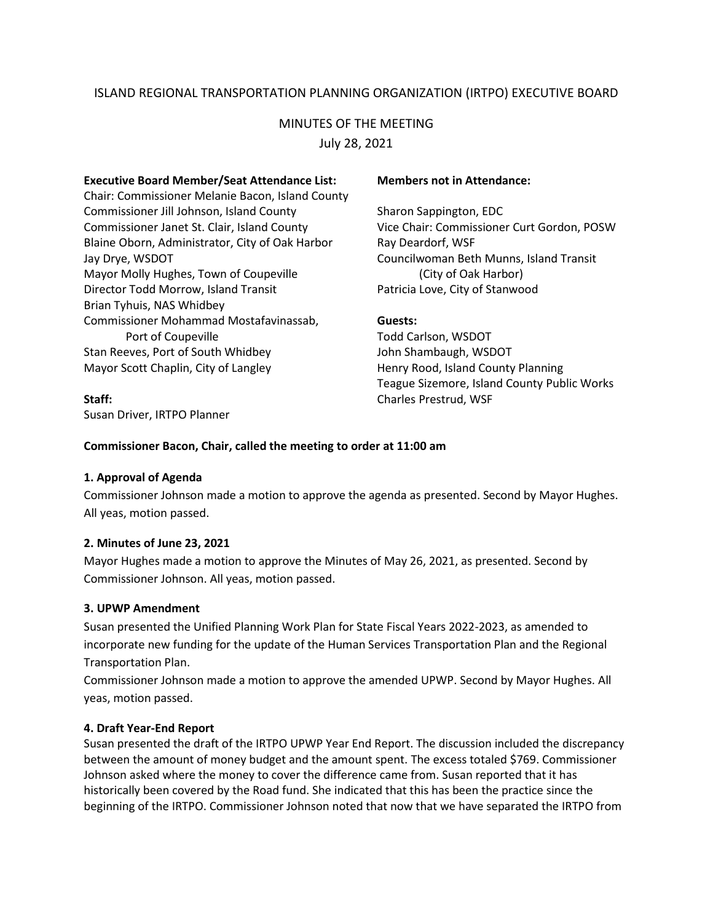# ISLAND REGIONAL TRANSPORTATION PLANNING ORGANIZATION (IRTPO) EXECUTIVE BOARD

# MINUTES OF THE MEETING

July 28, 2021

#### **Executive Board Member/Seat Attendance List: Members not in Attendance:**

Chair: Commissioner Melanie Bacon, Island County Commissioner Jill Johnson, Island County Sharon Sappington, EDC Commissioner Janet St. Clair, Island County Vice Chair: Commissioner Curt Gordon, POSW Blaine Oborn, Administrator, City of Oak Harbor Ray Deardorf, WSF Jay Drye, WSDOT Councilwoman Beth Munns, Island Transit Mayor Molly Hughes, Town of Coupeville **Example 20** (City of Oak Harbor) Director Todd Morrow, Island Transit Patricia Love, City of Stanwood Brian Tyhuis, NAS Whidbey Commissioner Mohammad Mostafavinassab, **Guests:** Port of Coupeville Todd Carlson, WSDOT Stan Reeves, Port of South Whidbey John Shambaugh, WSDOT Mayor Scott Chaplin, City of Langley Henry Rood, Island County Planning

Susan Driver, IRTPO Planner

Teague Sizemore, Island County Public Works **Staff:** Charles Prestrud, WSF

### **Commissioner Bacon, Chair, called the meeting to order at 11:00 am**

### **1. Approval of Agenda**

Commissioner Johnson made a motion to approve the agenda as presented. Second by Mayor Hughes. All yeas, motion passed.

# **2. Minutes of June 23, 2021**

Mayor Hughes made a motion to approve the Minutes of May 26, 2021, as presented. Second by Commissioner Johnson. All yeas, motion passed.

### **3. UPWP Amendment**

Susan presented the Unified Planning Work Plan for State Fiscal Years 2022-2023, as amended to incorporate new funding for the update of the Human Services Transportation Plan and the Regional Transportation Plan.

Commissioner Johnson made a motion to approve the amended UPWP. Second by Mayor Hughes. All yeas, motion passed.

### **4. Draft Year-End Report**

Susan presented the draft of the IRTPO UPWP Year End Report. The discussion included the discrepancy between the amount of money budget and the amount spent. The excess totaled \$769. Commissioner Johnson asked where the money to cover the difference came from. Susan reported that it has historically been covered by the Road fund. She indicated that this has been the practice since the beginning of the IRTPO. Commissioner Johnson noted that now that we have separated the IRTPO from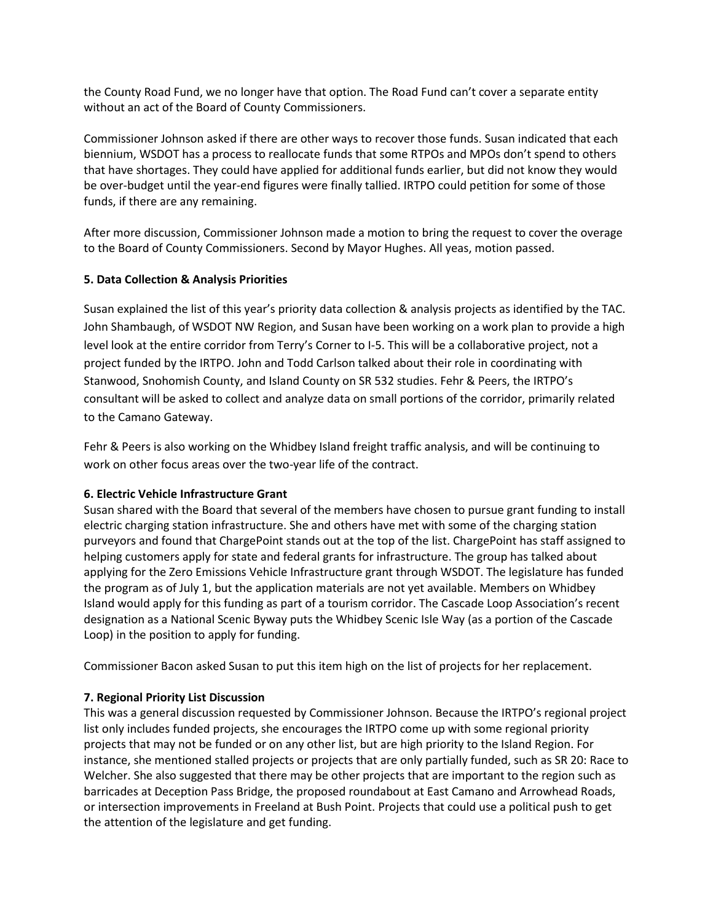the County Road Fund, we no longer have that option. The Road Fund can't cover a separate entity without an act of the Board of County Commissioners.

Commissioner Johnson asked if there are other ways to recover those funds. Susan indicated that each biennium, WSDOT has a process to reallocate funds that some RTPOs and MPOs don't spend to others that have shortages. They could have applied for additional funds earlier, but did not know they would be over-budget until the year-end figures were finally tallied. IRTPO could petition for some of those funds, if there are any remaining.

After more discussion, Commissioner Johnson made a motion to bring the request to cover the overage to the Board of County Commissioners. Second by Mayor Hughes. All yeas, motion passed.

## **5. Data Collection & Analysis Priorities**

Susan explained the list of this year's priority data collection & analysis projects as identified by the TAC. John Shambaugh, of WSDOT NW Region, and Susan have been working on a work plan to provide a high level look at the entire corridor from Terry's Corner to I-5. This will be a collaborative project, not a project funded by the IRTPO. John and Todd Carlson talked about their role in coordinating with Stanwood, Snohomish County, and Island County on SR 532 studies. Fehr & Peers, the IRTPO's consultant will be asked to collect and analyze data on small portions of the corridor, primarily related to the Camano Gateway.

Fehr & Peers is also working on the Whidbey Island freight traffic analysis, and will be continuing to work on other focus areas over the two-year life of the contract.

### **6. Electric Vehicle Infrastructure Grant**

Susan shared with the Board that several of the members have chosen to pursue grant funding to install electric charging station infrastructure. She and others have met with some of the charging station purveyors and found that ChargePoint stands out at the top of the list. ChargePoint has staff assigned to helping customers apply for state and federal grants for infrastructure. The group has talked about applying for the Zero Emissions Vehicle Infrastructure grant through WSDOT. The legislature has funded the program as of July 1, but the application materials are not yet available. Members on Whidbey Island would apply for this funding as part of a tourism corridor. The Cascade Loop Association's recent designation as a National Scenic Byway puts the Whidbey Scenic Isle Way (as a portion of the Cascade Loop) in the position to apply for funding.

Commissioner Bacon asked Susan to put this item high on the list of projects for her replacement.

# **7. Regional Priority List Discussion**

This was a general discussion requested by Commissioner Johnson. Because the IRTPO's regional project list only includes funded projects, she encourages the IRTPO come up with some regional priority projects that may not be funded or on any other list, but are high priority to the Island Region. For instance, she mentioned stalled projects or projects that are only partially funded, such as SR 20: Race to Welcher. She also suggested that there may be other projects that are important to the region such as barricades at Deception Pass Bridge, the proposed roundabout at East Camano and Arrowhead Roads, or intersection improvements in Freeland at Bush Point. Projects that could use a political push to get the attention of the legislature and get funding.